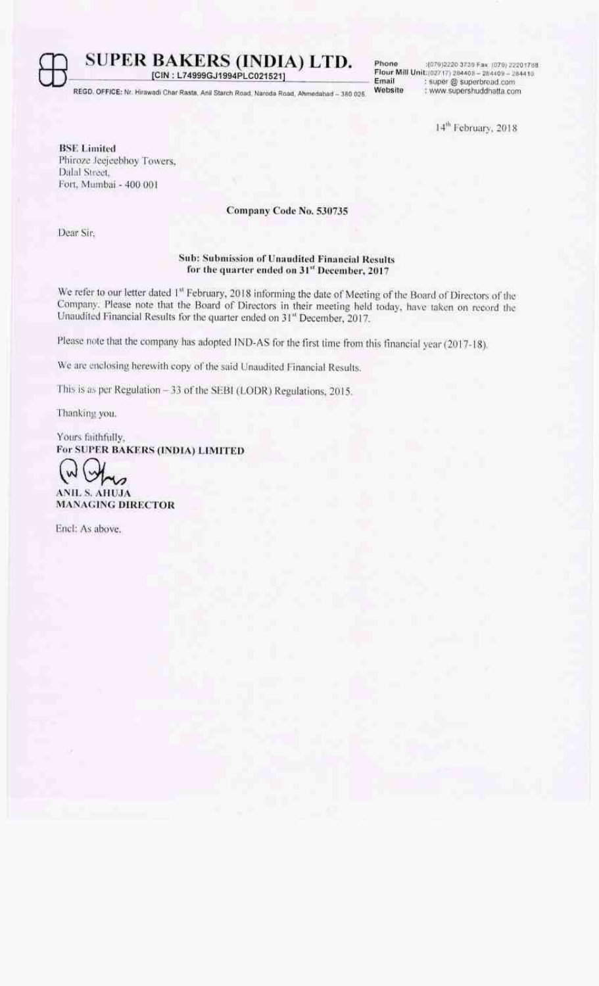

REGO, OFFICE: Nr. Hirawadi Char Rasta, Anii Starch Road, Naroda Road, Ahmedabad - 350 025.

Email Website

Phone :: (079)2220 3739 Fax (079) 22201703<br>Flour Mill Unit: (02717) 284408 - 284409 - 284410 : super @ superbroad.com : www.supershuddhatta.com

14<sup>th</sup> February, 2018

**BSE** Limited Phiroze leejeebhoy Towers, Dalal Street. Fort, Mumbai - 400 001

### Company Code No. 530735

Dear Sir.

### Sub: Submission of Unaudited Financial Results for the quarter ended on 31st December, 2017

We refer to our letter dated 1<sup>st</sup> February, 2018 informing the date of Meeting of the Board of Directors of the Company. Please note that the Board of Directors in their meeting held today, have taken on record the Unaudited Financial Results for the quarter ended on 31st December, 2017.

Please note that the company has adopted IND-AS for the first time from this financial year (2017-18).

We are enclosing herewith copy of the said Unaudited Financial Results.

This is as per Regulation - 33 of the SEBI (LODR) Regulations, 2015.

Thanking you.

Yours faithfully, For SUPER BAKERS (INDIA) LIMITED

Ù ANIL S. AHUJA **MANAGING DIRECTOR** 

Encl: As above.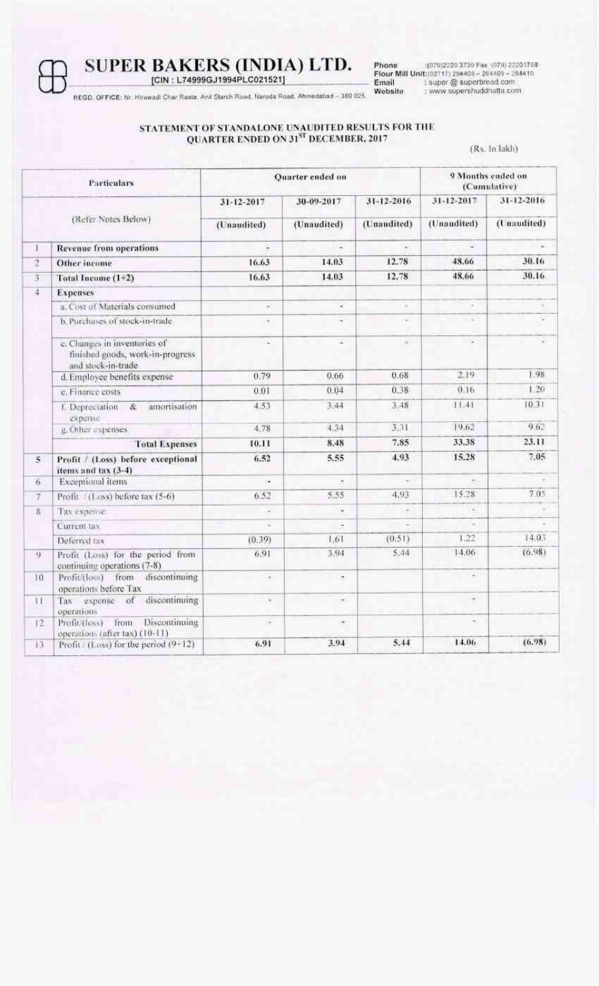## SUPER BAKERS (INDIA) LTD.<br>[CIN : L74999GJ1994PLC021521]

Phone (079)2220 3739 Fax (079) 22201718<br>
Flour Mill Unit:(02717) 284408 - 284409 - 284410<br>
Email : super @ superbread.com<br>
Website : www.supershuddhatta.com

REGD, OFFICE: Nr. Hirawadi Char Rasta, Anil Starch Road, Naroda Road, Ahmedabad - 380 025.

## STATEMENT OF STANDALONE UNAUDITED RESULTS FOR THE QUARTER ENDED ON  $31^{ST}$  DECEMBER,  $2017$

(Rs. In lakh)

| Particulars         |                                                                                        |             | Ouarter ended on         |             | 9 Months ended on<br>(Cumulative) |             |  |
|---------------------|----------------------------------------------------------------------------------------|-------------|--------------------------|-------------|-----------------------------------|-------------|--|
| (Refer Notes Below) |                                                                                        | 31-12-2017  | 30-09-2017               | 31-12-2016  | 31-12-2017                        | 31-12-2016  |  |
|                     |                                                                                        | (Unaudited) | (Unaudited)              | (Unaudited) | (Unaudited)                       | (Unaudited) |  |
| 1                   | <b>Revenue from operations</b>                                                         | ۷           | Ξ                        | 12          | ÷                                 |             |  |
| ũ.                  | Other income                                                                           | 16.63       | 14.03                    | 12.78       | 48.66                             | 30.16       |  |
| 3                   | Total Income (1+2)                                                                     | 16.63       | 14.03                    | 12.78       | 48.66                             | 30.16       |  |
| 4                   | <b>Expenses</b>                                                                        |             |                          |             |                                   |             |  |
|                     | a. Cost of Materials consumed                                                          | ×           | ¥                        | $\sim$      |                                   |             |  |
|                     | b. Purchases of stock-in-trade-                                                        | Ξ           | c                        | $\sim$      | ÷                                 |             |  |
|                     | c. Changes in inventories of<br>finished goods, work-in-progress<br>and stock-in-trade | ú,          | ្ន                       | ×           | $\overline{\phantom{a}}$          |             |  |
|                     | d. Employee benefits expense                                                           | 0.79        | 0.66                     | 0.68        | 2.19                              | 1.98        |  |
|                     | e. Finance costs                                                                       | 0.01        | 0.04                     | 0.38        | 0.16                              | 1.20        |  |
|                     | &.<br>f. Depreciation<br>amortisation<br>expense                                       | 4.53        | 3.44                     | 3.48        | 11.41                             | 10.31       |  |
|                     | g. Other expenses                                                                      | 4.78        | 4.34                     | 3.31        | 19.62                             | 9.62        |  |
|                     | <b>Total Expenses</b>                                                                  | 10.11       | 8.48                     | 7.85        | 33.38                             | 23.11       |  |
| 5 <sup>°</sup>      | Profit / (Loss) before exceptional<br>items and tax (3-4)                              | 6.52        | 5.55                     | 4.93        | 15.28                             | 7.05        |  |
| 6.                  | Exceptional items                                                                      | ÷           | $\bullet$                | $\sim$      | $\sim$                            |             |  |
| 7                   | Profit / (Loss) before tax (5-6)                                                       | 6.52        | 5.55                     | 4.93        | 15.28                             | 7.05        |  |
| 8                   | Tax expense:                                                                           | ×,          | ٠                        | ¥           |                                   |             |  |
|                     | Current tax                                                                            | ×           | $\overline{\phantom{a}}$ |             | ×                                 |             |  |
|                     | Deferred tax                                                                           | (0.39)      | 1.61                     | (0.51)      | 1.22.                             | 14.03       |  |
| 9                   | Profit (Loss) for the period from<br>continuing operations (7-8)                       | 6.91        | 3.94                     | 5,44        | 14.06                             | (6.98)      |  |
| 10.                 | Profit/(loss) from discontinuing<br>operations before Tax                              | $\alpha$    | ÷                        |             | ÷.                                |             |  |
| $\mathbf{H}$        | Tax expense of discontinuing<br>operations                                             | ×           | $\sim$                   |             | 95                                |             |  |
| 12                  | Prefit/(loss) from Discontinuing<br>operations (after tax) (10-11)                     | ٠           | ×                        |             | $\sim$                            |             |  |
| 13                  | Profit / (Loss) for the period (9+12)                                                  | 6.91        | 3.94                     | 5.44        | 14.06                             | (6.98)      |  |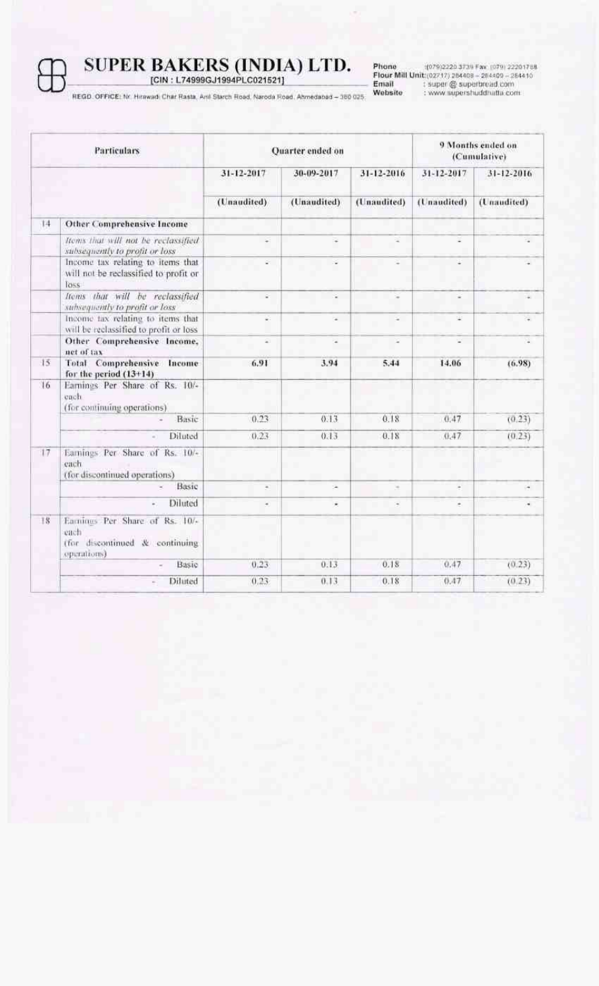Phone (079)2220 3739 Fax (079) 22201788<br>Flour Mill Unit:(02717) 384408 = 264409 = 264410<br>Email = super@ superbroad.com<br>Website = : www.supershuddhatla.com

REGD, OFFICE: Nr. Hirawadi Char Rasta, Anii Starch Road, Naroda Road, Ahmedabad - 380 025.

| Particulars |                                                                                         | Quarter ended on |                          | 9 Months ended on<br>(Cumulative) |             |             |
|-------------|-----------------------------------------------------------------------------------------|------------------|--------------------------|-----------------------------------|-------------|-------------|
|             |                                                                                         | 31-12-2017       | 30-09-2017               | 31-12-2016                        | 31-12-2017  | 31-12-2016  |
|             |                                                                                         | (Unaudited)      | (Unaudited)              | (Unaudited)                       | (Unaudited) | (Unaudited) |
| 14          | Other Comprehensive Income                                                              |                  |                          |                                   |             |             |
|             | froms that will not be reclassified<br>subsequently to profit or loss                   | ₽                |                          |                                   |             |             |
|             | Income tax relating to items that<br>will not be reclassified to profit or<br>Toss:     | ÷                | ×                        | ٠                                 | u           |             |
|             | Items that will be reclassified<br>subsequently to profit or loss                       | Ξ                | ٠                        |                                   |             |             |
|             | Income tax relating to items that<br>will be reclassified to profit or loss             | ¥.               | $\overline{\phantom{a}}$ | $\sim$                            | 宴           |             |
|             | Other Comprehensive Income,<br>net of tax                                               | ÷                | $\bullet$                | $\ddot{}$                         | ۷           |             |
| 15          | Total Comprehensive Income<br>for the period $(13+14)$                                  | 6.91             | 3.94                     | 5.44                              | 14.06       | (6.98)      |
| 16          | Earnings Per Share of Rs. 10/-<br>each.<br>(for continuing operations)                  |                  |                          |                                   |             |             |
|             | Basic                                                                                   | 0.23             | 0.13                     | 0.18                              | 0.47        | (0.23)      |
|             | Diluted                                                                                 | 0.23             | 0.13                     | 0.18                              | 0.47        | (0.23)      |
| 17          | Earnings Per Share of Rs. 10/-<br>each<br>(for discontinued operations)                 |                  |                          |                                   |             |             |
|             | Basic                                                                                   | ä.               | ÷.                       | ×                                 | ×.          | ×           |
|             | Diluted                                                                                 | ٠                | ×                        | ×                                 | ۰           |             |
| 18          | Earniqus Per Share of Rs. 10/-<br>each<br>(for discontinued & continuing<br>operations) |                  |                          |                                   |             |             |
|             | Basic                                                                                   | 0.23             | 0.13                     | 0.18                              | 0.47        | (0.23)      |
|             | Diluted                                                                                 | 0.23             | 0.13                     | 0.18                              | 0.47        | (0.23)      |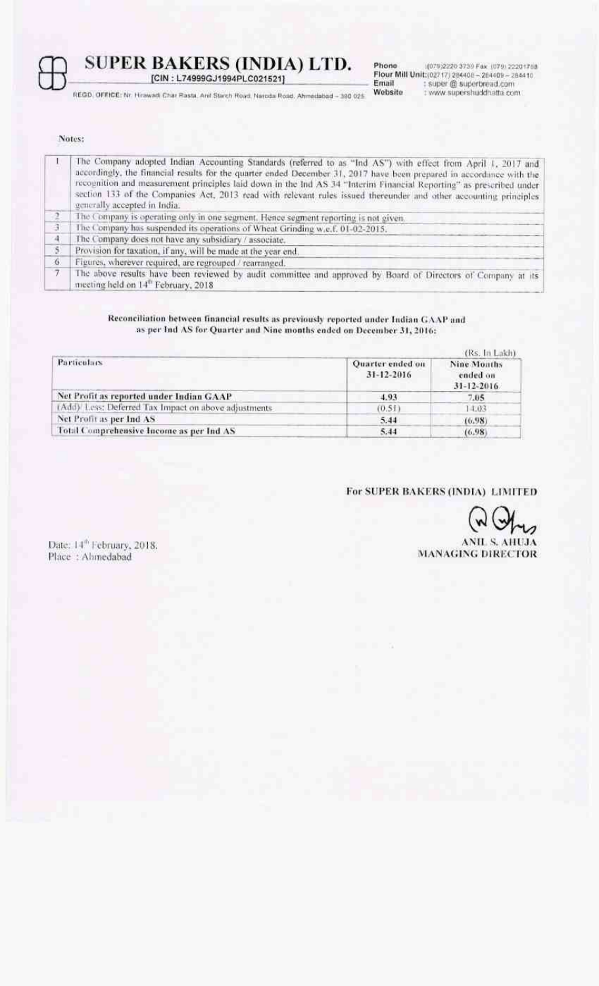

SUPER BAKERS (INDIA) LTD.<br>[CIN : L74999GJ1994PLC021521]

REGD, OFFICE: Nr. Hirawadi Char Rasta, Anil Starch Road, Naroda Road, Ahmedabad - 380 025

Phone (075)2220 3739 Fax (079) 22201753<br>Flour Mill Unit:(02717) 284408 - 284409 - 284410<br>Email : super @ superbread.com<br>Website : www.supershuddhatta.com (079)2220 3739 Fax (079) 22201768

Notes:

|        | The Company adopted Indian Accounting Standards (referred to as "Ind AS") with effect from April 1, 2017 and<br>accordingly, the financial results for the quarter ended December 31, 2017 have been prepared in accordance with the<br>recognition and measurement principles laid down in the Ind AS 34 "Interim Financial Reporting" as prescribed under<br>section 133 of the Companies Act, 2013 read with relevant rules issued thereunder and other accounting principles<br>generally accepted in India. |
|--------|------------------------------------------------------------------------------------------------------------------------------------------------------------------------------------------------------------------------------------------------------------------------------------------------------------------------------------------------------------------------------------------------------------------------------------------------------------------------------------------------------------------|
|        | The Company is operating only in one segment. Hence segment reporting is not given.                                                                                                                                                                                                                                                                                                                                                                                                                              |
| 3      | The Company has suspended its operations of Wheat Grinding w.e.f. 01-02-2015.                                                                                                                                                                                                                                                                                                                                                                                                                                    |
| $-4$   | The Company does not have any subsidiary / associate.                                                                                                                                                                                                                                                                                                                                                                                                                                                            |
| 5.     | Provision for taxation, if any, will be made at the year end.                                                                                                                                                                                                                                                                                                                                                                                                                                                    |
| 6.     | Figures, wherever required, are regrouped / rearranged.                                                                                                                                                                                                                                                                                                                                                                                                                                                          |
| $\tau$ | The above results have been reviewed by audit committee and approved by Board of Directors of Company at its<br>meeting held on 14" February, 2018                                                                                                                                                                                                                                                                                                                                                               |

### Reconciliation between financial results as previously reported under Indian GAAP and as per Ind AS for Quarter and Nine months ended on December 31, 2016:

|                                                      |                                | (Rs. In Lakh)                               |
|------------------------------------------------------|--------------------------------|---------------------------------------------|
| Particulars                                          | Ouarter ended on<br>31-12-2016 | Nine Months<br>ended on<br>$31 - 12 - 2016$ |
| Net Profit as reported under Indian GAAP             | 4.93                           | 7.05                                        |
| (Add) Less: Deferred Tax Impact on above adjustments | (0.51)                         | 14.03                                       |
| Net Profit as per Ind AS                             | 5.44                           | (0.98)                                      |
| Total Comprehensive Income as per Ind AS             | 5.44                           | (6.98)                                      |

### For SUPER BAKERS (INDIA) LIMITED

**ANIL S. AHUJA MANAGING DIRECTOR** 

Date: 14<sup>th</sup> February, 2018. Place: Ahmedabad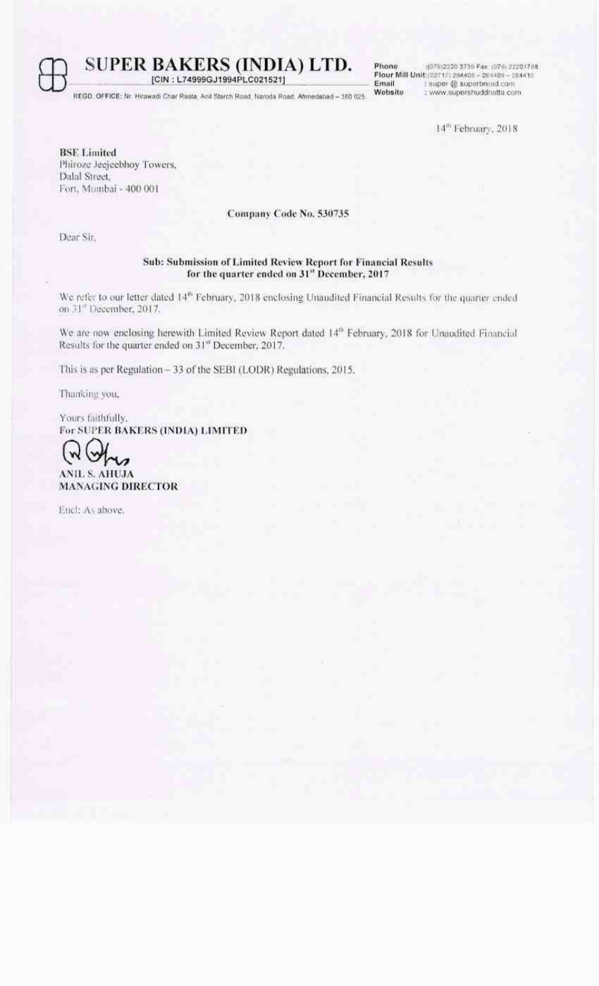REGD, OFFICE: Nr. Hirawadi Char Rasta, Anil Starch Road, Naroda Road, Ahmedabad - 350 025.

[CIN: L74999GJ1994PLC021521]

Phone :(079)2220 3739 Fax: (079) 222017 08 Flour Mill Unit: (02717) 284409 - 284409 - 284410<br>Email : super @ superbread.com Website : www.supershuddhatta.com

14<sup>m</sup> February, 2018

**BSE Limited** Phiroze Jeejeebhoy Towers, Dalal Street. Fort, Mumbai - 400 001

### Company Code No. 530735

Dear Sir.

### Sub: Submission of Limited Review Report for Financial Results for the quarter ended on 31" December, 2017

We refer to our letter dated 14<sup>th</sup> February, 2018 enclosing Unaudited Financial Results for the quarter ended on 31" December, 2017.

We are now enclosing herewith Limited Review Report dated 14th February, 2018 for Unaudited Financial Results for the quarter ended on 31" December, 2017.

This is as per Regulation - 33 of the SEBI (LODR) Regulations, 2015.

Thanking you,

Yours faithfully. For SUPER BAKERS (INDIA) LIMITED



Encl: As above.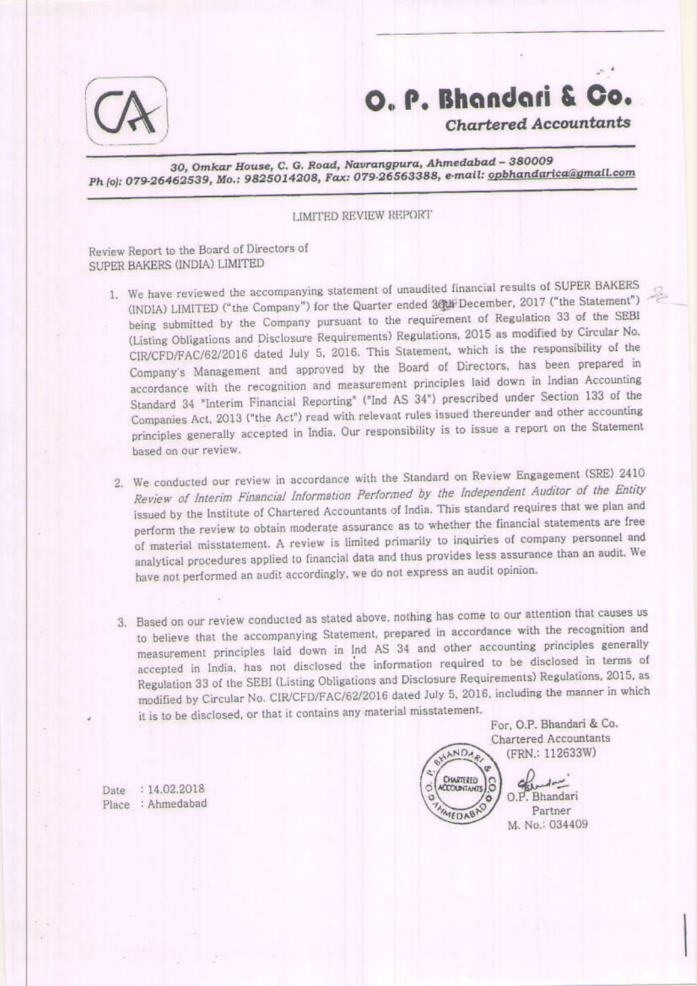

### O. P. Bhandari & Co.

**Chartered Accountants** 

30, Omkar House, C. G. Road, Navrangpura, Ahmedabad - 380009 Ph (o): 079-26462539, Mo.: 9825014208, Fax: 079-26563388, e-mail: opbhandarica@gmail.com

### LIMITED REVIEW REPORT

Review Report to the Board of Directors of SUPER BAKERS (INDIA) LIMITED

- 1. We have reviewed the accompanying statement of unaudited financial results of SUPER BAKERS (INDIA) LIMITED ("the Company") for the Quarter ended 30th December, 2017 ("the Statement") being submitted by the Company pursuant to the requirement of Regulation 33 of the SEBI (Listing Obligations and Disclosure Requirements) Regulations, 2015 as modified by Circular No. CIR/CFD/FAC/62/2016 dated July 5, 2016. This Statement, which is the responsibility of the Company's Management and approved by the Board of Directors, has been prepared in accordance with the recognition and measurement principles laid down in Indian Accounting Standard 34 "Interim Financial Reporting" ("Ind AS 34") prescribed under Section 133 of the Companies Act, 2013 ("the Act") read with relevant rules issued thereunder and other accounting principles generally accepted in India. Our responsibility is to issue a report on the Statement based on our review.
- 2. We conducted our review in accordance with the Standard on Review Engagement (SRE) 2410 Review of Interim Financial Information Performed by the Independent Auditor of the Entity issued by the Institute of Chartered Accountants of India. This standard requires that we plan and perform the review to obtain moderate assurance as to whether the financial statements are free of material misstatement. A review is limited primarily to inquiries of company personnel and analytical procedures applied to financial data and thus provides less assurance than an audit. We have not performed an audit accordingly, we do not express an audit opinion.
- 3. Based on our review conducted as stated above, nothing has come to our attention that causes us to believe that the accompanying Statement, prepared in accordance with the recognition and measurement principles laid down in Ind AS 34 and other accounting principles generally accepted in India, has not disclosed the information required to be disclosed in terms of Regulation 33 of the SEBI (Listing Obligations and Disclosure Requirements) Regulations, 2015, as modified by Circular No. CIR/CFD/FAC/62/2016 dated July 5, 2016, including the manner in which it is to be disclosed, or that it contains any material misstatement.

For, O.P. Bhandari & Co. **Chartered Accountants** (FRN.: 112633W)

Partner

HANDAR CHARTERED 8 **ACCOUNTANTS** O.P. Bhandari MEDAB M. No.: 034409

Date: 14.02.2018 Place : Ahmedabad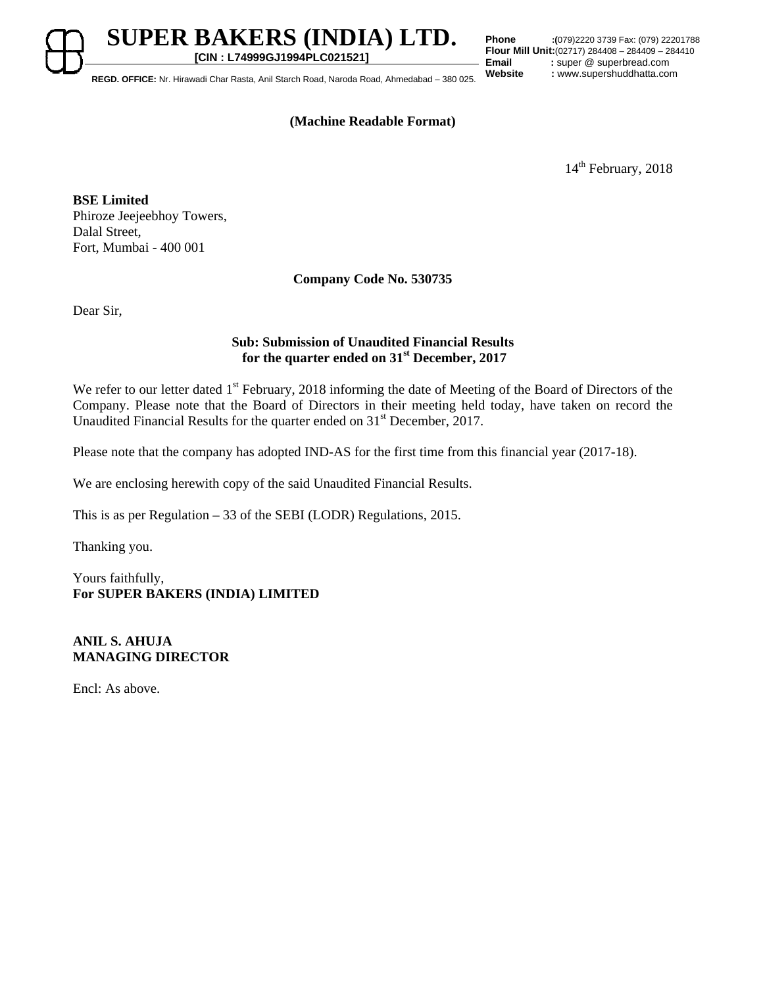**[CIN : L74999GJ1994PLC021521] REGD. OFFICE:** Nr. Hirawadi Char Rasta, Anil Starch Road, Naroda Road, Ahmedabad – 380 025.

**SUPER BAKERS (INDIA) LTD.** 

**Phone :(**079)2220 3739 Fax: (079) 22201788 **Flour Mill Unit:**(02717) 284408 – 284409 – 284410<br>**Email** : super @ superbread.com **Email** : super @ superbread.com<br> **Website** : www.supershuddhatta.com

### **(Machine Readable Format)**

14<sup>th</sup> February, 2018

**BSE Limited**  Phiroze Jeejeebhoy Towers, Dalal Street, Fort, Mumbai - 400 001

**Company Code No. 530735** 

Dear Sir,

### **Sub: Submission of Unaudited Financial Results for the quarter ended on 31st December, 2017**

We refer to our letter dated 1<sup>st</sup> February, 2018 informing the date of Meeting of the Board of Directors of the Company. Please note that the Board of Directors in their meeting held today, have taken on record the Unaudited Financial Results for the quarter ended on 31<sup>st</sup> December, 2017.

Please note that the company has adopted IND-AS for the first time from this financial year (2017-18).

We are enclosing herewith copy of the said Unaudited Financial Results.

This is as per Regulation – 33 of the SEBI (LODR) Regulations, 2015.

Thanking you.

Yours faithfully, **For SUPER BAKERS (INDIA) LIMITED** 

### **ANIL S. AHUJA MANAGING DIRECTOR**

Encl: As above.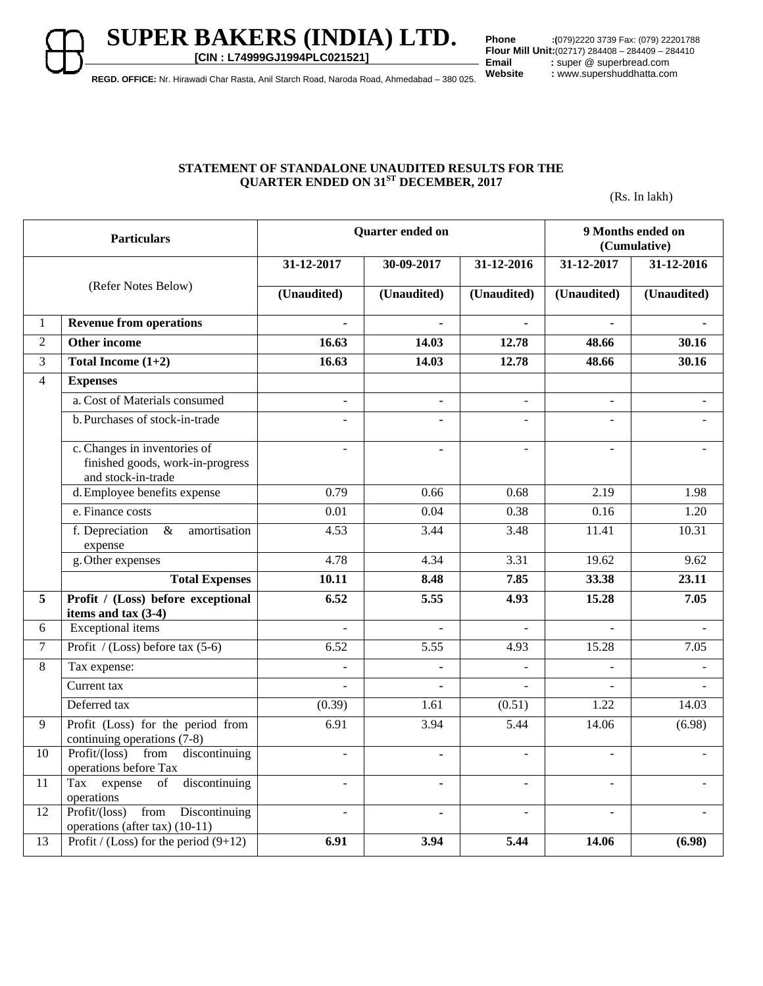**SUPER BAKERS (INDIA) LTD. [CIN : L74999GJ1994PLC021521]**

**Phone :(**079)2220 3739 Fax: (079) 22201788 **Flour Mill Unit:**(02717) 284408 – 284409 – 284410<br>**Email** : super @ superbread.com **Email** : super @ superbread.com<br> **Website** : www.supershuddhatta.com

**REGD. OFFICE:** Nr. Hirawadi Char Rasta, Anil Starch Road, Naroda Road, Ahmedabad – 380 025.

### **STATEMENT OF STANDALONE UNAUDITED RESULTS FOR THE QUARTER ENDED ON 31ST DECEMBER, 2017**

(Rs. In lakh)

| <b>Particulars</b>  |                                                                                        |                          | Quarter ended on | 9 Months ended on<br>(Cumulative) |                   |             |
|---------------------|----------------------------------------------------------------------------------------|--------------------------|------------------|-----------------------------------|-------------------|-------------|
| (Refer Notes Below) |                                                                                        | 31-12-2017               | 30-09-2017       | 31-12-2016                        | 31-12-2017        | 31-12-2016  |
|                     |                                                                                        | (Unaudited)              | (Unaudited)      | (Unaudited)                       | (Unaudited)       | (Unaudited) |
| $\mathbf{1}$        | <b>Revenue from operations</b>                                                         | ä,                       | $\blacksquare$   | $\blacksquare$                    | $\blacksquare$    |             |
| $\overline{2}$      | <b>Other income</b>                                                                    | 16.63                    | 14.03            | 12.78                             | 48.66             | 30.16       |
| 3                   | Total Income $(1+2)$                                                                   | 16.63                    | 14.03            | 12.78                             | 48.66             | 30.16       |
| $\overline{4}$      | <b>Expenses</b>                                                                        |                          |                  |                                   |                   |             |
|                     | a. Cost of Materials consumed                                                          | $\sim$                   | $\blacksquare$   | $\Delta$                          | $\blacksquare$    |             |
|                     | b. Purchases of stock-in-trade                                                         | $\sim$                   |                  |                                   |                   |             |
|                     | c. Changes in inventories of<br>finished goods, work-in-progress<br>and stock-in-trade | $\blacksquare$           | $\blacksquare$   | $\overline{\phantom{a}}$          |                   |             |
|                     | d. Employee benefits expense                                                           | 0.79                     | 0.66             | 0.68                              | $\overline{2.19}$ | 1.98        |
|                     | e. Finance costs                                                                       | 0.01                     | 0.04             | 0.38                              | 0.16              | 1.20        |
|                     | f. Depreciation $\&$ amortisation<br>expense                                           | 4.53                     | 3.44             | 3.48                              | 11.41             | 10.31       |
|                     | g. Other expenses                                                                      | 4.78                     | 4.34             | 3.31                              | 19.62             | 9.62        |
|                     | <b>Total Expenses</b>                                                                  | 10.11                    | 8.48             | 7.85                              | 33.38             | 23.11       |
| 5                   | Profit / (Loss) before exceptional<br>items and tax $(3-4)$                            | 6.52                     | 5.55             | 4.93                              | 15.28             | 7.05        |
| 6                   | <b>Exceptional</b> items                                                               | $\overline{a}$           | $\overline{a}$   | $\bar{\phantom{a}}$               | $\sim$            | ÷,          |
| $\overline{7}$      | Profit / (Loss) before tax $(5-6)$                                                     | 6.52                     | 5.55             | 4.93                              | 15.28             | 7.05        |
| 8                   | Tax expense:                                                                           | $\mathbf{r}$             | ÷,               | $\overline{a}$                    |                   |             |
|                     | Current tax                                                                            |                          |                  |                                   |                   |             |
|                     | Deferred tax                                                                           | (0.39)                   | 1.61             | (0.51)                            | 1.22              | 14.03       |
| 9                   | Profit (Loss) for the period from<br>continuing operations (7-8)                       | 6.91                     | 3.94             | 5.44                              | 14.06             | (6.98)      |
| 10                  | Profit/(loss) from discontinuing<br>operations before Tax                              | $\overline{\phantom{a}}$ | $\blacksquare$   |                                   |                   |             |
| 11                  | Tax expense of<br>discontinuing<br>operations                                          | $\blacksquare$           | $\blacksquare$   | $\blacksquare$                    |                   |             |
| 12                  | Profit/(loss) from Discontinuing<br>operations (after tax) (10-11)                     | $\sim$                   |                  |                                   |                   |             |
| 13                  | Profit / (Loss) for the period $(9+12)$                                                | 6.91                     | 3.94             | 5.44                              | 14.06             | (6.98)      |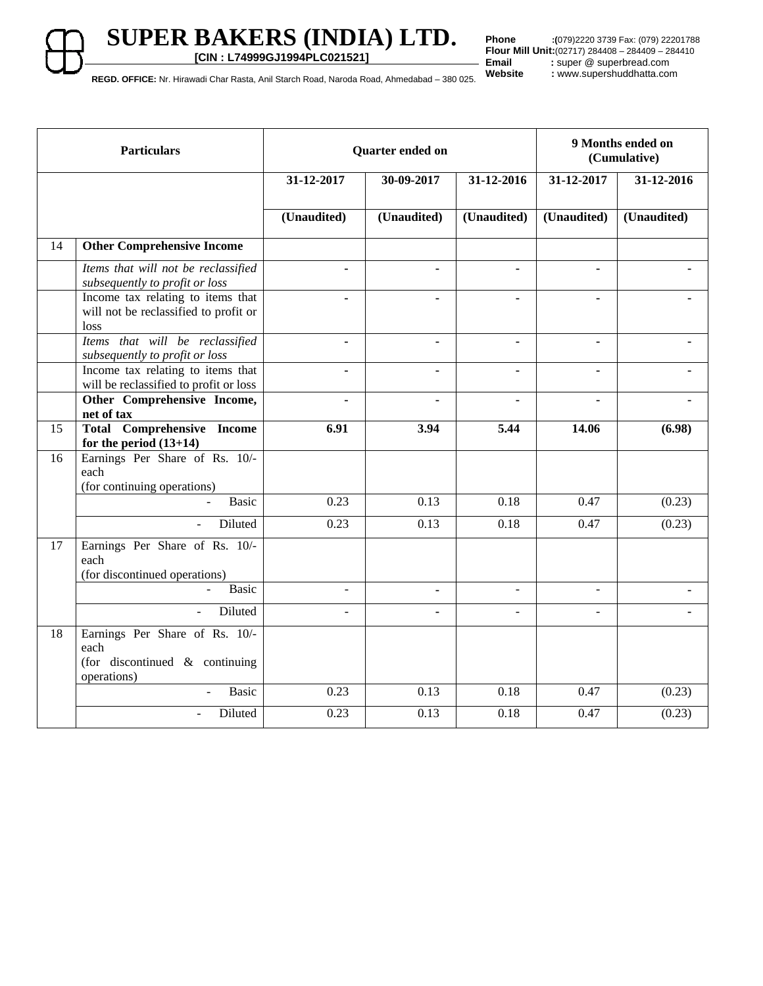**[CIN : L74999GJ1994PLC021521]**

**Phone :(**079)2220 3739 Fax: (079) 22201788 **Flour Mill Unit:**(02717) 284408 – 284409 – 284410<br>**Email** : super @ superbread.com Email : super @ superbread.com<br>Website : www.supershuddhatta.com

**REGD. OFFICE:** Nr. Hirawadi Char Rasta, Anil Starch Road, Naroda Road, Ahmedabad – 380 025.

| <b>Particulars</b> |                                                                                         | Quarter ended on                       |                              |                          | 9 Months ended on<br>(Cumulative) |             |
|--------------------|-----------------------------------------------------------------------------------------|----------------------------------------|------------------------------|--------------------------|-----------------------------------|-------------|
|                    |                                                                                         | 31-12-2017<br>30-09-2017<br>31-12-2016 |                              | 31-12-2017               | 31-12-2016                        |             |
|                    |                                                                                         | (Unaudited)                            | (Unaudited)                  | (Unaudited)              | (Unaudited)                       | (Unaudited) |
| 14                 | <b>Other Comprehensive Income</b>                                                       |                                        |                              |                          |                                   |             |
|                    | Items that will not be reclassified<br>subsequently to profit or loss                   | $\blacksquare$                         | $\blacksquare$               | $\blacksquare$           | $\blacksquare$                    |             |
|                    | Income tax relating to items that<br>will not be reclassified to profit or<br>loss      | $\blacksquare$                         | $\blacksquare$               |                          | $\blacksquare$                    |             |
|                    | Items that will be reclassified<br>subsequently to profit or loss                       | ä,                                     | $\blacksquare$               | $\blacksquare$           | $\blacksquare$                    |             |
|                    | Income tax relating to items that<br>will be reclassified to profit or loss             | $\blacksquare$                         | $\blacksquare$               | $\blacksquare$           | $\blacksquare$                    |             |
|                    | Other Comprehensive Income,<br>net of tax                                               |                                        |                              |                          |                                   |             |
| 15                 | <b>Total Comprehensive Income</b><br>for the period $(13+14)$                           | 6.91                                   | 3.94                         | 5.44                     | 14.06                             | (6.98)      |
| 16                 | Earnings Per Share of Rs. 10/-<br>each<br>(for continuing operations)                   |                                        |                              |                          |                                   |             |
|                    | <b>Basic</b>                                                                            | 0.23                                   | 0.13                         | 0.18                     | 0.47                              | (0.23)      |
|                    | Diluted<br>$\sim$                                                                       | 0.23                                   | 0.13                         | 0.18                     | 0.47                              | (0.23)      |
| 17                 | Earnings Per Share of Rs. 10/-<br>each<br>(for discontinued operations)                 |                                        |                              |                          |                                   |             |
|                    | Basic                                                                                   | $\overline{\phantom{a}}$               | $\qquad \qquad \blacksquare$ | $\overline{\phantom{a}}$ | $\blacksquare$                    |             |
|                    | Diluted                                                                                 | ä,                                     | $\blacksquare$               |                          | $\overline{a}$                    |             |
| 18                 | Earnings Per Share of Rs. 10/-<br>each<br>(for discontinued & continuing<br>operations) |                                        |                              |                          |                                   |             |
|                    | <b>Basic</b><br>$\overline{a}$                                                          | 0.23                                   | 0.13                         | 0.18                     | 0.47                              | (0.23)      |
|                    | Diluted                                                                                 | 0.23                                   | 0.13                         | 0.18                     | 0.47                              | (0.23)      |